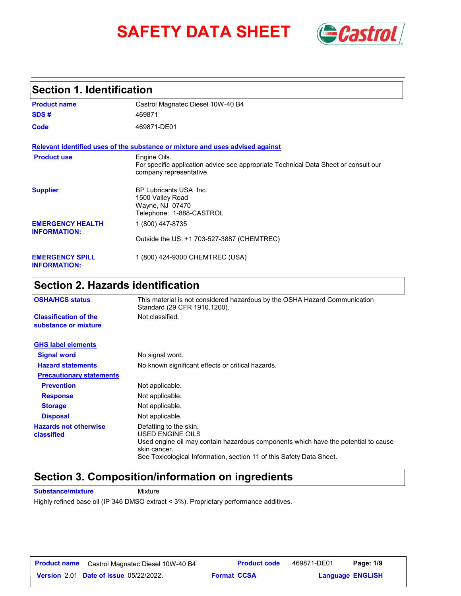# **SAFETY DATA SHEET** *Castrol*



### **Section 1. Identification**

| <b>Product name</b>                            | Castrol Magnatec Diesel 10W-40 B4                                                                                              |
|------------------------------------------------|--------------------------------------------------------------------------------------------------------------------------------|
| SDS#                                           | 469871                                                                                                                         |
| Code                                           | 469871-DE01                                                                                                                    |
|                                                | Relevant identified uses of the substance or mixture and uses advised against                                                  |
| <b>Product use</b>                             | Engine Oils.<br>For specific application advice see appropriate Technical Data Sheet or consult our<br>company representative. |
| <b>Supplier</b>                                | <b>BP Lubricants USA Inc.</b><br>1500 Valley Road<br>Wayne, NJ 07470<br>Telephone: 1-888-CASTROL                               |
| <b>EMERGENCY HEALTH</b><br><b>INFORMATION:</b> | 1 (800) 447-8735                                                                                                               |
|                                                | Outside the US: +1 703-527-3887 (CHEMTREC)                                                                                     |
| <b>EMERGENCY SPILL</b><br><b>INFORMATION:</b>  | 1 (800) 424-9300 CHEMTREC (USA)                                                                                                |

## **Section 2. Hazards identification**

| <b>OSHA/HCS status</b>                               | This material is not considered hazardous by the OSHA Hazard Communication<br>Standard (29 CFR 1910.1200).                                                                                                               |  |  |
|------------------------------------------------------|--------------------------------------------------------------------------------------------------------------------------------------------------------------------------------------------------------------------------|--|--|
| <b>Classification of the</b><br>substance or mixture | Not classified.                                                                                                                                                                                                          |  |  |
| <b>GHS label elements</b>                            |                                                                                                                                                                                                                          |  |  |
| <b>Signal word</b>                                   | No signal word.                                                                                                                                                                                                          |  |  |
| <b>Hazard statements</b>                             | No known significant effects or critical hazards.                                                                                                                                                                        |  |  |
| <b>Precautionary statements</b>                      |                                                                                                                                                                                                                          |  |  |
| <b>Prevention</b>                                    | Not applicable.                                                                                                                                                                                                          |  |  |
| <b>Response</b>                                      | Not applicable.                                                                                                                                                                                                          |  |  |
| <b>Storage</b>                                       | Not applicable.                                                                                                                                                                                                          |  |  |
| <b>Disposal</b>                                      | Not applicable.                                                                                                                                                                                                          |  |  |
| <b>Hazards not otherwise</b><br>classified           | Defatting to the skin.<br>USED ENGINE OILS<br>Used engine oil may contain hazardous components which have the potential to cause<br>skin cancer.<br>See Toxicological Information, section 11 of this Safety Data Sheet. |  |  |

### **Section 3. Composition/information on ingredients**

**Substance/mixture Mixture** 

Highly refined base oil (IP 346 DMSO extract < 3%). Proprietary performance additives.

| <b>Product name</b> | Castrol Magnatec Diesel 10W-40 B4             | <b>Product code</b> | 469871-DE01 | Page: 1/9               |  |
|---------------------|-----------------------------------------------|---------------------|-------------|-------------------------|--|
|                     | <b>Version 2.01 Date of issue 05/22/2022.</b> | <b>Format CCSA</b>  |             | <b>Language ENGLISH</b> |  |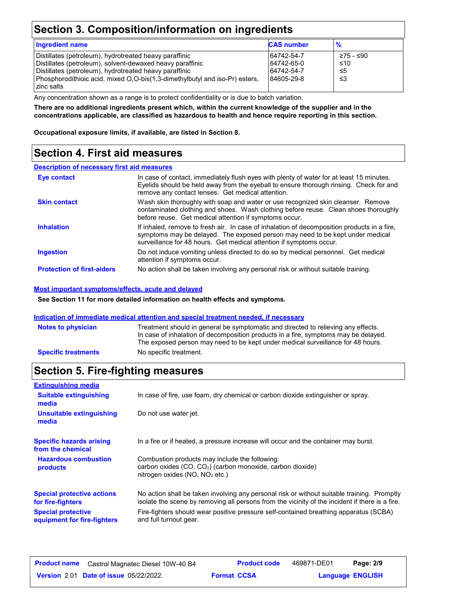### **Section 3. Composition/information on ingredients**

| <b>Ingredient name</b>                                                      | <b>CAS number</b> | $\frac{9}{6}$ |
|-----------------------------------------------------------------------------|-------------------|---------------|
| Distillates (petroleum), hydrotreated heavy paraffinic                      | 64742-54-7        | ≥75 - ≤90     |
| Distillates (petroleum), solvent-dewaxed heavy paraffinic                   | 64742-65-0        | ≤10           |
| Distillates (petroleum), hydrotreated heavy paraffinic                      | 64742-54-7        | -≤5           |
| Phosphorodithioic acid, mixed O,O-bis(1,3-dimethylbutyl and iso-Pr) esters, | 84605-29-8        | ו≥ ≤          |
| zinc salts                                                                  |                   |               |

Any concentration shown as a range is to protect confidentiality or is due to batch variation.

**There are no additional ingredients present which, within the current knowledge of the supplier and in the concentrations applicable, are classified as hazardous to health and hence require reporting in this section.**

**Occupational exposure limits, if available, are listed in Section 8.**

### **Section 4. First aid measures**

### **Description of necessary first aid measures**

| Eye contact                       | In case of contact, immediately flush eyes with plenty of water for at least 15 minutes.<br>Eyelids should be held away from the eyeball to ensure thorough rinsing. Check for and<br>remove any contact lenses. Get medical attention.             |
|-----------------------------------|-----------------------------------------------------------------------------------------------------------------------------------------------------------------------------------------------------------------------------------------------------|
| <b>Skin contact</b>               | Wash skin thoroughly with soap and water or use recognized skin cleanser. Remove<br>contaminated clothing and shoes. Wash clothing before reuse. Clean shoes thoroughly<br>before reuse. Get medical attention if symptoms occur.                   |
| <b>Inhalation</b>                 | If inhaled, remove to fresh air. In case of inhalation of decomposition products in a fire,<br>symptoms may be delayed. The exposed person may need to be kept under medical<br>surveillance for 48 hours. Get medical attention if symptoms occur. |
| <b>Ingestion</b>                  | Do not induce vomiting unless directed to do so by medical personnel. Get medical<br>attention if symptoms occur.                                                                                                                                   |
| <b>Protection of first-aiders</b> | No action shall be taken involving any personal risk or without suitable training.                                                                                                                                                                  |

### **Most important symptoms/effects, acute and delayed**

**See Section 11 for more detailed information on health effects and symptoms.**

#### **Indication of immediate medical attention and special treatment needed, if necessary**

| <b>Notes to physician</b>  | Treatment should in general be symptomatic and directed to relieving any effects.<br>In case of inhalation of decomposition products in a fire, symptoms may be delayed.<br>The exposed person may need to be kept under medical surveillance for 48 hours. |
|----------------------------|-------------------------------------------------------------------------------------------------------------------------------------------------------------------------------------------------------------------------------------------------------------|
| <b>Specific treatments</b> | No specific treatment.                                                                                                                                                                                                                                      |

### **Section 5. Fire-fighting measures**

| <b>Extinguishing media</b>                               |                                                                                                                                                                                                |
|----------------------------------------------------------|------------------------------------------------------------------------------------------------------------------------------------------------------------------------------------------------|
| <b>Suitable extinguishing</b><br>media                   | In case of fire, use foam, dry chemical or carbon dioxide extinguisher or spray.                                                                                                               |
| <b>Unsuitable extinguishing</b><br>media                 | Do not use water jet.                                                                                                                                                                          |
| <b>Specific hazards arising</b><br>from the chemical     | In a fire or if heated, a pressure increase will occur and the container may burst.                                                                                                            |
| <b>Hazardous combustion</b><br>products                  | Combustion products may include the following:<br>carbon oxides $(CO, CO2)$ (carbon monoxide, carbon dioxide)<br>nitrogen oxides (NO, NO <sub>2</sub> etc.)                                    |
| <b>Special protective actions</b><br>for fire-fighters   | No action shall be taken involving any personal risk or without suitable training. Promptly<br>isolate the scene by removing all persons from the vicinity of the incident if there is a fire. |
| <b>Special protective</b><br>equipment for fire-fighters | Fire-fighters should wear positive pressure self-contained breathing apparatus (SCBA)<br>and full turnout gear.                                                                                |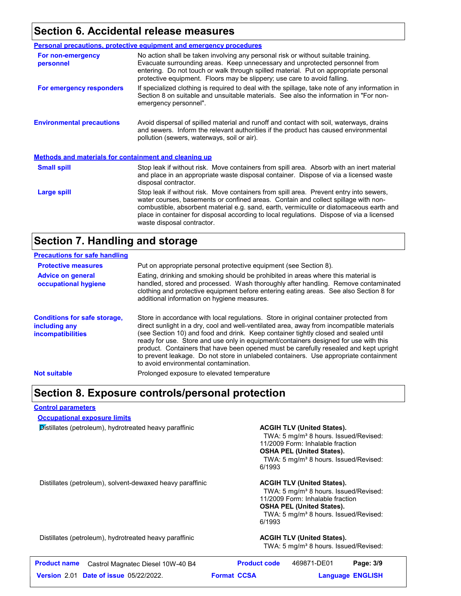### **Section 6. Accidental release measures**

|                                                              | <b>Personal precautions, protective equipment and emergency procedures</b>                                                                                                                                                                                                                                                                                                                         |  |  |
|--------------------------------------------------------------|----------------------------------------------------------------------------------------------------------------------------------------------------------------------------------------------------------------------------------------------------------------------------------------------------------------------------------------------------------------------------------------------------|--|--|
| For non-emergency<br>personnel                               | No action shall be taken involving any personal risk or without suitable training.<br>Evacuate surrounding areas. Keep unnecessary and unprotected personnel from<br>entering. Do not touch or walk through spilled material. Put on appropriate personal<br>protective equipment. Floors may be slippery; use care to avoid falling.                                                              |  |  |
| For emergency responders                                     | If specialized clothing is required to deal with the spillage, take note of any information in<br>Section 8 on suitable and unsuitable materials. See also the information in "For non-<br>emergency personnel".                                                                                                                                                                                   |  |  |
| <b>Environmental precautions</b>                             | Avoid dispersal of spilled material and runoff and contact with soil, waterways, drains<br>and sewers. Inform the relevant authorities if the product has caused environmental<br>pollution (sewers, waterways, soil or air).                                                                                                                                                                      |  |  |
| <b>Methods and materials for containment and cleaning up</b> |                                                                                                                                                                                                                                                                                                                                                                                                    |  |  |
| <b>Small spill</b>                                           | Stop leak if without risk. Move containers from spill area. Absorb with an inert material<br>and place in an appropriate waste disposal container. Dispose of via a licensed waste<br>disposal contractor.                                                                                                                                                                                         |  |  |
| Large spill                                                  | Stop leak if without risk. Move containers from spill area. Prevent entry into sewers,<br>water courses, basements or confined areas. Contain and collect spillage with non-<br>combustible, absorbent material e.g. sand, earth, vermiculite or diatomaceous earth and<br>place in container for disposal according to local regulations. Dispose of via a licensed<br>waste disposal contractor. |  |  |

### **Section 7. Handling and storage**

| <b>Precautions for safe handling</b>                                             |                                                                                                                                                                                                                                                                                                                                                                                                                                                                                                                                                                                               |
|----------------------------------------------------------------------------------|-----------------------------------------------------------------------------------------------------------------------------------------------------------------------------------------------------------------------------------------------------------------------------------------------------------------------------------------------------------------------------------------------------------------------------------------------------------------------------------------------------------------------------------------------------------------------------------------------|
| <b>Protective measures</b>                                                       | Put on appropriate personal protective equipment (see Section 8).                                                                                                                                                                                                                                                                                                                                                                                                                                                                                                                             |
| <b>Advice on general</b><br>occupational hygiene                                 | Eating, drinking and smoking should be prohibited in areas where this material is<br>handled, stored and processed. Wash thoroughly after handling. Remove contaminated<br>clothing and protective equipment before entering eating areas. See also Section 8 for<br>additional information on hygiene measures.                                                                                                                                                                                                                                                                              |
| <b>Conditions for safe storage,</b><br>including any<br><i>incompatibilities</i> | Store in accordance with local regulations. Store in original container protected from<br>direct sunlight in a dry, cool and well-ventilated area, away from incompatible materials<br>(see Section 10) and food and drink. Keep container tightly closed and sealed until<br>ready for use. Store and use only in equipment/containers designed for use with this<br>product. Containers that have been opened must be carefully resealed and kept upright<br>to prevent leakage. Do not store in unlabeled containers. Use appropriate containment<br>to avoid environmental contamination. |
| <b>Not suitable</b>                                                              | Prolonged exposure to elevated temperature                                                                                                                                                                                                                                                                                                                                                                                                                                                                                                                                                    |

### **Section 8. Exposure controls/personal protection**

#### **Control parameters**

**Occupational exposure limits**

**Distillates (petroleum), hydrotreated heavy paraffinic <b>ACGIH TLV (United States).** 

TWA: 5 mg/m<sup>3</sup> 8 hours. Issued/Revised: 11/2009 Form: Inhalable fraction **OSHA PEL (United States).** TWA: 5 mg/m<sup>3</sup> 8 hours. Issued/Revised: 6/1993

Distillates (petroleum), solvent-dewaxed heavy paraffinic **ACGIH TLV (United States).** 

TWA: 5 mg/m<sup>3</sup> 8 hours. Issued/Revised: 11/2009 Form: Inhalable fraction **OSHA PEL (United States).** TWA: 5 mg/m<sup>3</sup> 8 hours. Issued/Revised: 6/1993

Distillates (petroleum), hydrotreated heavy paraffinic **ACGIH TLV (United States).**

TWA: 5 mg/m<sup>3</sup> 8 hours. Issued/Revised:

| <b>Product name</b> Castrol Magnatec Diesel 10W-40 B4 | <b>Product code</b> | 469871-DE01 | Page: 3/9               |
|-------------------------------------------------------|---------------------|-------------|-------------------------|
| <b>Version 2.01 Date of issue 05/22/2022.</b>         | <b>Format CCSA</b>  |             | <b>Language ENGLISH</b> |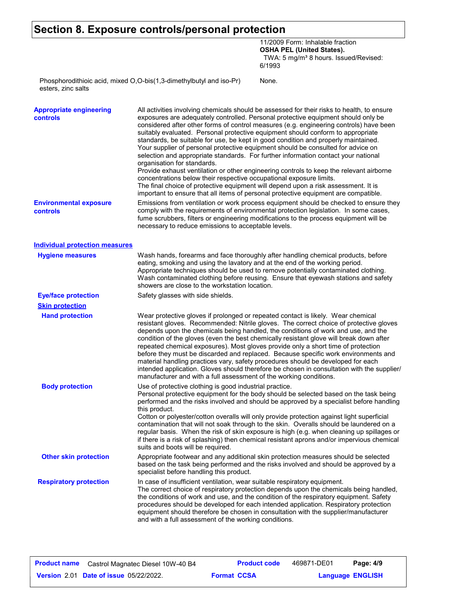### **Section 8. Exposure controls/personal protection**

11/2009 Form: Inhalable fraction **OSHA PEL (United States).** TWA: 5 mg/m<sup>3</sup> 8 hours. Issued/Revised: 6/1993

None.

Phosphorodithioic acid, mixed O,O-bis(1,3-dimethylbutyl and iso-Pr) esters, zinc salts

| <b>Appropriate engineering</b><br>controls | All activities involving chemicals should be assessed for their risks to health, to ensure<br>exposures are adequately controlled. Personal protective equipment should only be<br>considered after other forms of control measures (e.g. engineering controls) have been<br>suitably evaluated. Personal protective equipment should conform to appropriate<br>standards, be suitable for use, be kept in good condition and properly maintained.<br>Your supplier of personal protective equipment should be consulted for advice on<br>selection and appropriate standards. For further information contact your national<br>organisation for standards.<br>Provide exhaust ventilation or other engineering controls to keep the relevant airborne<br>concentrations below their respective occupational exposure limits.<br>The final choice of protective equipment will depend upon a risk assessment. It is<br>important to ensure that all items of personal protective equipment are compatible. |
|--------------------------------------------|------------------------------------------------------------------------------------------------------------------------------------------------------------------------------------------------------------------------------------------------------------------------------------------------------------------------------------------------------------------------------------------------------------------------------------------------------------------------------------------------------------------------------------------------------------------------------------------------------------------------------------------------------------------------------------------------------------------------------------------------------------------------------------------------------------------------------------------------------------------------------------------------------------------------------------------------------------------------------------------------------------|
| <b>Environmental exposure</b><br>controls  | Emissions from ventilation or work process equipment should be checked to ensure they<br>comply with the requirements of environmental protection legislation. In some cases,<br>fume scrubbers, filters or engineering modifications to the process equipment will be<br>necessary to reduce emissions to acceptable levels.                                                                                                                                                                                                                                                                                                                                                                                                                                                                                                                                                                                                                                                                              |
| <b>Individual protection measures</b>      |                                                                                                                                                                                                                                                                                                                                                                                                                                                                                                                                                                                                                                                                                                                                                                                                                                                                                                                                                                                                            |
| <b>Hygiene measures</b>                    | Wash hands, forearms and face thoroughly after handling chemical products, before<br>eating, smoking and using the lavatory and at the end of the working period.<br>Appropriate techniques should be used to remove potentially contaminated clothing.<br>Wash contaminated clothing before reusing. Ensure that eyewash stations and safety<br>showers are close to the workstation location.                                                                                                                                                                                                                                                                                                                                                                                                                                                                                                                                                                                                            |
| <b>Eye/face protection</b>                 | Safety glasses with side shields.                                                                                                                                                                                                                                                                                                                                                                                                                                                                                                                                                                                                                                                                                                                                                                                                                                                                                                                                                                          |
| <b>Skin protection</b>                     |                                                                                                                                                                                                                                                                                                                                                                                                                                                                                                                                                                                                                                                                                                                                                                                                                                                                                                                                                                                                            |
| <b>Hand protection</b>                     | Wear protective gloves if prolonged or repeated contact is likely. Wear chemical<br>resistant gloves. Recommended: Nitrile gloves. The correct choice of protective gloves<br>depends upon the chemicals being handled, the conditions of work and use, and the<br>condition of the gloves (even the best chemically resistant glove will break down after<br>repeated chemical exposures). Most gloves provide only a short time of protection<br>before they must be discarded and replaced. Because specific work environments and<br>material handling practices vary, safety procedures should be developed for each<br>intended application. Gloves should therefore be chosen in consultation with the supplier/<br>manufacturer and with a full assessment of the working conditions.                                                                                                                                                                                                              |
| <b>Body protection</b>                     | Use of protective clothing is good industrial practice.<br>Personal protective equipment for the body should be selected based on the task being<br>performed and the risks involved and should be approved by a specialist before handling<br>this product.<br>Cotton or polyester/cotton overalls will only provide protection against light superficial<br>contamination that will not soak through to the skin. Overalls should be laundered on a<br>regular basis. When the risk of skin exposure is high (e.g. when cleaning up spillages or<br>if there is a risk of splashing) then chemical resistant aprons and/or impervious chemical<br>suits and boots will be required.                                                                                                                                                                                                                                                                                                                      |
| <b>Other skin protection</b>               | Appropriate footwear and any additional skin protection measures should be selected<br>based on the task being performed and the risks involved and should be approved by a<br>specialist before handling this product.                                                                                                                                                                                                                                                                                                                                                                                                                                                                                                                                                                                                                                                                                                                                                                                    |
| <b>Respiratory protection</b>              | In case of insufficient ventilation, wear suitable respiratory equipment.<br>The correct choice of respiratory protection depends upon the chemicals being handled,<br>the conditions of work and use, and the condition of the respiratory equipment. Safety<br>procedures should be developed for each intended application. Respiratory protection<br>equipment should therefore be chosen in consultation with the supplier/manufacturer<br>and with a full assessment of the working conditions.                                                                                                                                                                                                                                                                                                                                                                                                                                                                                                      |
|                                            |                                                                                                                                                                                                                                                                                                                                                                                                                                                                                                                                                                                                                                                                                                                                                                                                                                                                                                                                                                                                            |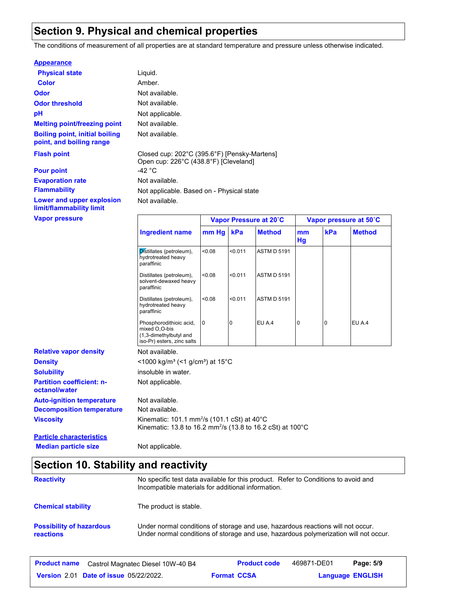### **Section 9. Physical and chemical properties**

The conditions of measurement of all properties are at standard temperature and pressure unless otherwise indicated.

#### **Appearance**

| <b>Physical state</b>                                             | Liquid.                                   |                                              |  |
|-------------------------------------------------------------------|-------------------------------------------|----------------------------------------------|--|
| <b>Color</b>                                                      | Amber.                                    |                                              |  |
| <b>Odor</b>                                                       | Not available.                            |                                              |  |
| <b>Odor threshold</b>                                             | Not available.                            |                                              |  |
| рH                                                                | Not applicable.                           |                                              |  |
| <b>Melting point/freezing point</b>                               | Not available.                            |                                              |  |
| <b>Boiling point, initial boiling</b><br>point, and boiling range | Not available.                            |                                              |  |
| <b>Flash point</b>                                                | Open cup: 226°C (438.8°F) [Cleveland]     | Closed cup: 202°C (395.6°F) [Pensky-Martens] |  |
| <b>Pour point</b>                                                 | -42 °C                                    |                                              |  |
| <b>Evaporation rate</b>                                           | Not available.                            |                                              |  |
| <b>Flammability</b>                                               | Not applicable. Based on - Physical state |                                              |  |
| Lower and upper explosion<br>limit/flammability limit             | Not available.                            |                                              |  |
| <b>Vapor pressure</b>                                             |                                           | <b>Vapor Pressure at 20</b>                  |  |

Not available. Not applicable. **Viscosity** Kinematic: 101.1 mm<sup>2</sup> /s (101.1 cSt) at 40°C Kinematic: 13.8 to 16.2 mm²/s (13.8 to 16.2 cSt) at 100°C **Partition coefficient: noctanol/water Decomposition temperature** Not available. **Density Solubility**  $<$ 1000 kg/m<sup>3</sup> (<1 g/cm<sup>3</sup>) at 15°C insoluble in water. **Ingredient name Vapor Pressure at 20˚C Vapor pressure at 50˚C mm Hg kPa Method mm Hg Method**  $\overline{\mathsf{p}}$  istillates (petroleum), <0.08 hydrotreated heavy paraffinic <0.08 <0.011 ASTM D 5191 Distillates (petroleum), <0.08 solvent-dewaxed heavy paraffinic <0.08 <0.011 ASTM D 5191 Distillates (petroleum), <0.08 hydrotreated heavy paraffinic <0.08 <0.011 ASTM D 5191 Phosphorodithioic acid, 0 mixed O,O-bis (1,3-dimethylbutyl and iso-Pr) esters, zinc salts 0 **0 EU A.4 0 0 EU A.4 Relative vapor density Auto-ignition temperature** Not available. **Particle characteristics**

# **Median particle size** Not applicable.

| Section 10. Stability and reactivity                |                                                                                                                                                                         |  |  |  |
|-----------------------------------------------------|-------------------------------------------------------------------------------------------------------------------------------------------------------------------------|--|--|--|
| <b>Reactivity</b>                                   | No specific test data available for this product. Refer to Conditions to avoid and<br>Incompatible materials for additional information.                                |  |  |  |
| <b>Chemical stability</b>                           | The product is stable.                                                                                                                                                  |  |  |  |
| <b>Possibility of hazardous</b><br><b>reactions</b> | Under normal conditions of storage and use, hazardous reactions will not occur.<br>Under normal conditions of storage and use, hazardous polymerization will not occur. |  |  |  |

| <b>Product name</b> | Castrol Magnatec Diesel 10W-40 B4             |                    | <b>Product code</b> | 469871-DE01             | Page: 5/9 |  |
|---------------------|-----------------------------------------------|--------------------|---------------------|-------------------------|-----------|--|
|                     | <b>Version 2.01 Date of issue 05/22/2022.</b> | <b>Format CCSA</b> |                     | <b>Language ENGLISH</b> |           |  |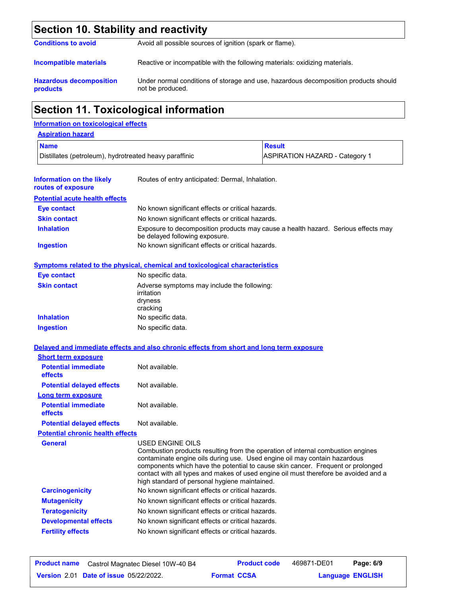### **Section 10. Stability and reactivity**

| <b>Conditions to avoid</b> | Avoid all possible sources of ignition (spark or flame). |  |  |  |  |
|----------------------------|----------------------------------------------------------|--|--|--|--|
|                            |                                                          |  |  |  |  |
|                            |                                                          |  |  |  |  |

**Incompatible materials** Reactive or incompatible with the following materials: oxidizing materials.

**Hazardous decomposition products** Under normal conditions of storage and use, hazardous decomposition products should not be produced.

## **Section 11. Toxicological information**

### **Information on toxicological effects**

| <b>Aspiration hazard</b>                               |                                                                                                                     |               |                                       |  |  |
|--------------------------------------------------------|---------------------------------------------------------------------------------------------------------------------|---------------|---------------------------------------|--|--|
| <b>Name</b>                                            |                                                                                                                     | <b>Result</b> |                                       |  |  |
| Distillates (petroleum), hydrotreated heavy paraffinic |                                                                                                                     |               | <b>ASPIRATION HAZARD - Category 1</b> |  |  |
| Information on the likely<br>routes of exposure        | Routes of entry anticipated: Dermal, Inhalation.                                                                    |               |                                       |  |  |
| <b>Potential acute health effects</b>                  |                                                                                                                     |               |                                       |  |  |
| Eye contact                                            | No known significant effects or critical hazards.                                                                   |               |                                       |  |  |
| <b>Skin contact</b>                                    | No known significant effects or critical hazards.                                                                   |               |                                       |  |  |
| <b>Inhalation</b>                                      | Exposure to decomposition products may cause a health hazard. Serious effects may<br>be delayed following exposure. |               |                                       |  |  |
| <b>Ingestion</b>                                       | No known significant effects or critical hazards.                                                                   |               |                                       |  |  |

### **Symptoms related to the physical, chemical and toxicological characteristics**

| <b>Eye contact</b>  | No specific data.                                                                |
|---------------------|----------------------------------------------------------------------------------|
| <b>Skin contact</b> | Adverse symptoms may include the following:<br>irritation<br>dryness<br>cracking |
| <b>Inhalation</b>   | No specific data.                                                                |
| <b>Ingestion</b>    | No specific data.                                                                |

|                                         | Delayed and immediate effects and also chronic effects from short and long term exposure                                                                                                                                                                                                                                                                                                                    |
|-----------------------------------------|-------------------------------------------------------------------------------------------------------------------------------------------------------------------------------------------------------------------------------------------------------------------------------------------------------------------------------------------------------------------------------------------------------------|
| <b>Short term exposure</b>              |                                                                                                                                                                                                                                                                                                                                                                                                             |
| <b>Potential immediate</b><br>effects   | Not available.                                                                                                                                                                                                                                                                                                                                                                                              |
| <b>Potential delayed effects</b>        | Not available.                                                                                                                                                                                                                                                                                                                                                                                              |
| <b>Long term exposure</b>               |                                                                                                                                                                                                                                                                                                                                                                                                             |
| <b>Potential immediate</b><br>effects   | Not available.                                                                                                                                                                                                                                                                                                                                                                                              |
| <b>Potential delayed effects</b>        | Not available.                                                                                                                                                                                                                                                                                                                                                                                              |
| <b>Potential chronic health effects</b> |                                                                                                                                                                                                                                                                                                                                                                                                             |
| <b>General</b>                          | USED ENGINE OILS<br>Combustion products resulting from the operation of internal combustion engines<br>contaminate engine oils during use. Used engine oil may contain hazardous<br>components which have the potential to cause skin cancer. Frequent or prolonged<br>contact with all types and makes of used engine oil must therefore be avoided and a<br>high standard of personal hygiene maintained. |
| <b>Carcinogenicity</b>                  | No known significant effects or critical hazards.                                                                                                                                                                                                                                                                                                                                                           |
| <b>Mutagenicity</b>                     | No known significant effects or critical hazards.                                                                                                                                                                                                                                                                                                                                                           |
| <b>Teratogenicity</b>                   | No known significant effects or critical hazards.                                                                                                                                                                                                                                                                                                                                                           |
| <b>Developmental effects</b>            | No known significant effects or critical hazards.                                                                                                                                                                                                                                                                                                                                                           |
| <b>Fertility effects</b>                | No known significant effects or critical hazards.                                                                                                                                                                                                                                                                                                                                                           |
|                                         |                                                                                                                                                                                                                                                                                                                                                                                                             |

| <b>Product name</b> | Castrol Magnatec Diesel 10W-40 B4             |                    | <b>Product code</b> | 469871-DE01             | Page: 6/9 |  |
|---------------------|-----------------------------------------------|--------------------|---------------------|-------------------------|-----------|--|
|                     | <b>Version 2.01 Date of issue 05/22/2022.</b> | <b>Format CCSA</b> |                     | <b>Language ENGLISH</b> |           |  |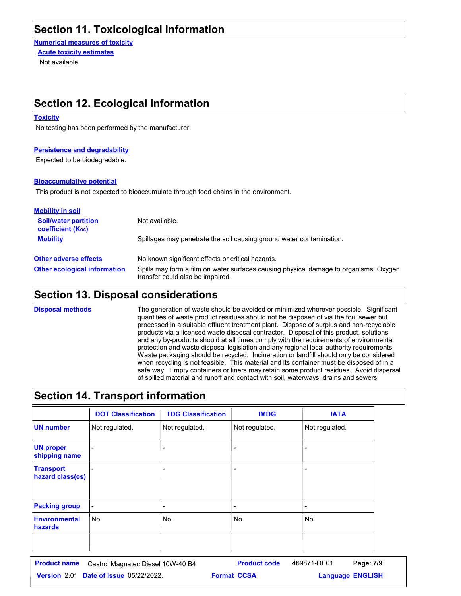### **Section 11. Toxicological information**

**Numerical measures of toxicity**

Not available. **Acute toxicity estimates**

### **Section 12. Ecological information**

#### **Toxicity**

No testing has been performed by the manufacturer.

#### **Persistence and degradability**

Expected to be biodegradable.

#### **Bioaccumulative potential**

This product is not expected to bioaccumulate through food chains in the environment.

| <b>Mobility in soil</b>                                 |                                                                                                                           |
|---------------------------------------------------------|---------------------------------------------------------------------------------------------------------------------------|
| <b>Soil/water partition</b><br><b>coefficient (Koc)</b> | Not available.                                                                                                            |
| <b>Mobility</b>                                         | Spillages may penetrate the soil causing ground water contamination.                                                      |
| <b>Other adverse effects</b>                            | No known significant effects or critical hazards.                                                                         |
| <b>Other ecological information</b>                     | Spills may form a film on water surfaces causing physical damage to organisms. Oxygen<br>transfer could also be impaired. |

### **Section 13. Disposal considerations**

The generation of waste should be avoided or minimized wherever possible. Significant quantities of waste product residues should not be disposed of via the foul sewer but processed in a suitable effluent treatment plant. Dispose of surplus and non-recyclable products via a licensed waste disposal contractor. Disposal of this product, solutions and any by-products should at all times comply with the requirements of environmental protection and waste disposal legislation and any regional local authority requirements. Waste packaging should be recycled. Incineration or landfill should only be considered when recycling is not feasible. This material and its container must be disposed of in a safe way. Empty containers or liners may retain some product residues. Avoid dispersal of spilled material and runoff and contact with soil, waterways, drains and sewers. **Disposal methods**

### **Section 14. Transport information**

|                                      | <b>DOT Classification</b> | <b>TDG Classification</b> | <b>IMDG</b>    | <b>IATA</b>              |
|--------------------------------------|---------------------------|---------------------------|----------------|--------------------------|
| <b>UN number</b>                     | Not regulated.            | Not regulated.            | Not regulated. | Not regulated.           |
| <b>UN proper</b><br>shipping name    |                           |                           |                |                          |
| <b>Transport</b><br>hazard class(es) |                           |                           |                |                          |
| <b>Packing group</b>                 | $\overline{\phantom{a}}$  |                           |                | $\overline{\phantom{a}}$ |
| <b>Environmental</b><br>hazards      | No.                       | No.                       | No.            | No.                      |
|                                      |                           |                           |                |                          |

| <b>Product name</b> | Castrol Magnatec Diesel 10W-40 B4             |                    | <b>Product code</b> | 469871-DE01             | Page: 7/9 |  |
|---------------------|-----------------------------------------------|--------------------|---------------------|-------------------------|-----------|--|
|                     | <b>Version 2.01 Date of issue 05/22/2022.</b> | <b>Format CCSA</b> |                     | <b>Language ENGLISH</b> |           |  |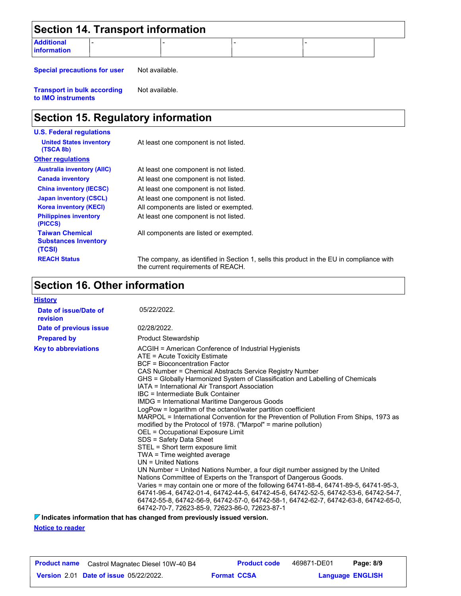| <b>Section 14. Transport information</b> |  |  |  |  |  |
|------------------------------------------|--|--|--|--|--|
| <b>Additional</b><br><b>information</b>  |  |  |  |  |  |

**Special precautions for user** Not available.

**Transport in bulk according to IMO instruments** Not available.

## **Section 15. Regulatory information**

| <b>U.S. Federal regulations</b>                                 |                                                                                                                                |
|-----------------------------------------------------------------|--------------------------------------------------------------------------------------------------------------------------------|
| <b>United States inventory</b><br>(TSCA 8b)                     | At least one component is not listed.                                                                                          |
| <b>Other regulations</b>                                        |                                                                                                                                |
| <b>Australia inventory (AIIC)</b>                               | At least one component is not listed.                                                                                          |
| <b>Canada inventory</b>                                         | At least one component is not listed.                                                                                          |
| <b>China inventory (IECSC)</b>                                  | At least one component is not listed.                                                                                          |
| <b>Japan inventory (CSCL)</b>                                   | At least one component is not listed.                                                                                          |
| <b>Korea inventory (KECI)</b>                                   | All components are listed or exempted.                                                                                         |
| <b>Philippines inventory</b><br>(PICCS)                         | At least one component is not listed.                                                                                          |
| <b>Taiwan Chemical</b><br><b>Substances Inventory</b><br>(TCSI) | All components are listed or exempted.                                                                                         |
| <b>REACH Status</b>                                             | The company, as identified in Section 1, sells this product in the EU in compliance with<br>the current requirements of REACH. |

### **Section 16. Other information**

| <b>History</b>                    |                                                                                                                                                                                                                                                                                                                                                                                                                                                                                                                                                                                                                                                                                                                                                                                                                                                                                                                                                                                                                                                                                                                                                                                                                                                                                                |
|-----------------------------------|------------------------------------------------------------------------------------------------------------------------------------------------------------------------------------------------------------------------------------------------------------------------------------------------------------------------------------------------------------------------------------------------------------------------------------------------------------------------------------------------------------------------------------------------------------------------------------------------------------------------------------------------------------------------------------------------------------------------------------------------------------------------------------------------------------------------------------------------------------------------------------------------------------------------------------------------------------------------------------------------------------------------------------------------------------------------------------------------------------------------------------------------------------------------------------------------------------------------------------------------------------------------------------------------|
| Date of issue/Date of<br>revision | 05/22/2022.                                                                                                                                                                                                                                                                                                                                                                                                                                                                                                                                                                                                                                                                                                                                                                                                                                                                                                                                                                                                                                                                                                                                                                                                                                                                                    |
| Date of previous issue            | 02/28/2022.                                                                                                                                                                                                                                                                                                                                                                                                                                                                                                                                                                                                                                                                                                                                                                                                                                                                                                                                                                                                                                                                                                                                                                                                                                                                                    |
| <b>Prepared by</b>                | <b>Product Stewardship</b>                                                                                                                                                                                                                                                                                                                                                                                                                                                                                                                                                                                                                                                                                                                                                                                                                                                                                                                                                                                                                                                                                                                                                                                                                                                                     |
| <b>Key to abbreviations</b>       | ACGIH = American Conference of Industrial Hygienists<br>ATE = Acute Toxicity Estimate<br><b>BCF</b> = Bioconcentration Factor<br>CAS Number = Chemical Abstracts Service Registry Number<br>GHS = Globally Harmonized System of Classification and Labelling of Chemicals<br>IATA = International Air Transport Association<br>IBC = Intermediate Bulk Container<br><b>IMDG = International Maritime Dangerous Goods</b><br>LogPow = logarithm of the octanol/water partition coefficient<br>MARPOL = International Convention for the Prevention of Pollution From Ships, 1973 as<br>modified by the Protocol of 1978. ("Marpol" = marine pollution)<br>OEL = Occupational Exposure Limit<br>SDS = Safety Data Sheet<br>STEL = Short term exposure limit<br>TWA = Time weighted average<br>UN = United Nations<br>UN Number = United Nations Number, a four digit number assigned by the United<br>Nations Committee of Experts on the Transport of Dangerous Goods.<br>Varies = may contain one or more of the following 64741-88-4, 64741-89-5, 64741-95-3,<br>64741-96-4, 64742-01-4, 64742-44-5, 64742-45-6, 64742-52-5, 64742-53-6, 64742-54-7,<br>64742-55-8, 64742-56-9, 64742-57-0, 64742-58-1, 64742-62-7, 64742-63-8, 64742-65-0,<br>64742-70-7, 72623-85-9, 72623-86-0, 72623-87-1 |

**Notice to reader Indicates information that has changed from previously issued version.**

| <b>Product name</b> Castrol Magnatec Diesel 10W-40 B4 |                    | <b>Product code</b> | 469871-DE01 | Page: 8/9               |  |
|-------------------------------------------------------|--------------------|---------------------|-------------|-------------------------|--|
| <b>Version 2.01 Date of issue 05/22/2022.</b>         | <b>Format CCSA</b> |                     |             | <b>Language ENGLISH</b> |  |